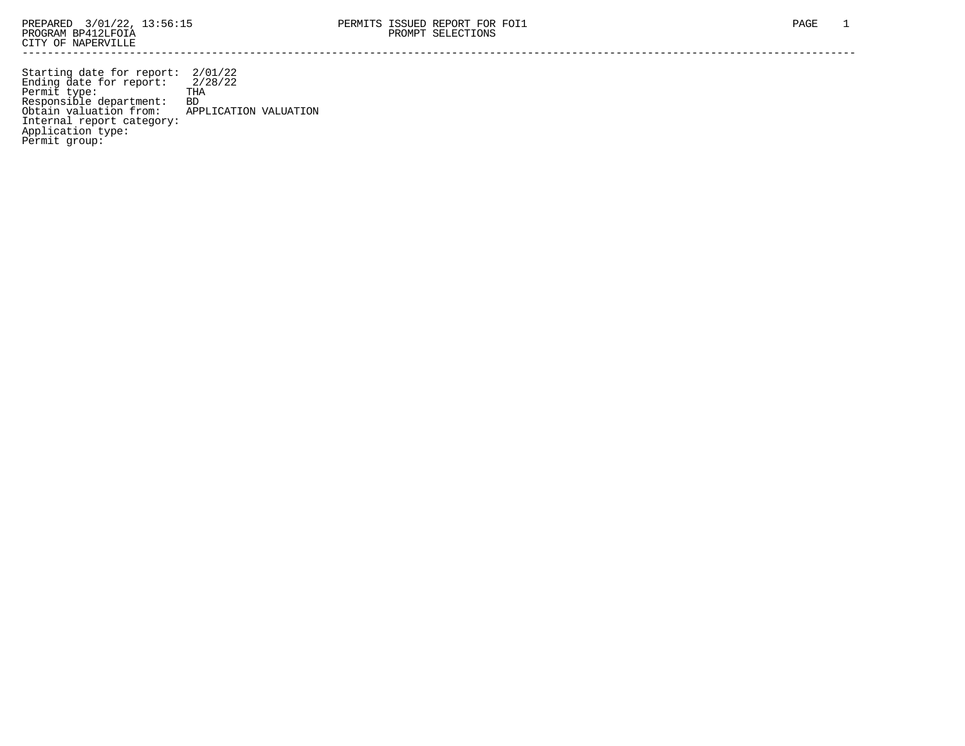Permit group:

------------------------------------------------------------------------------------------------------------------------------------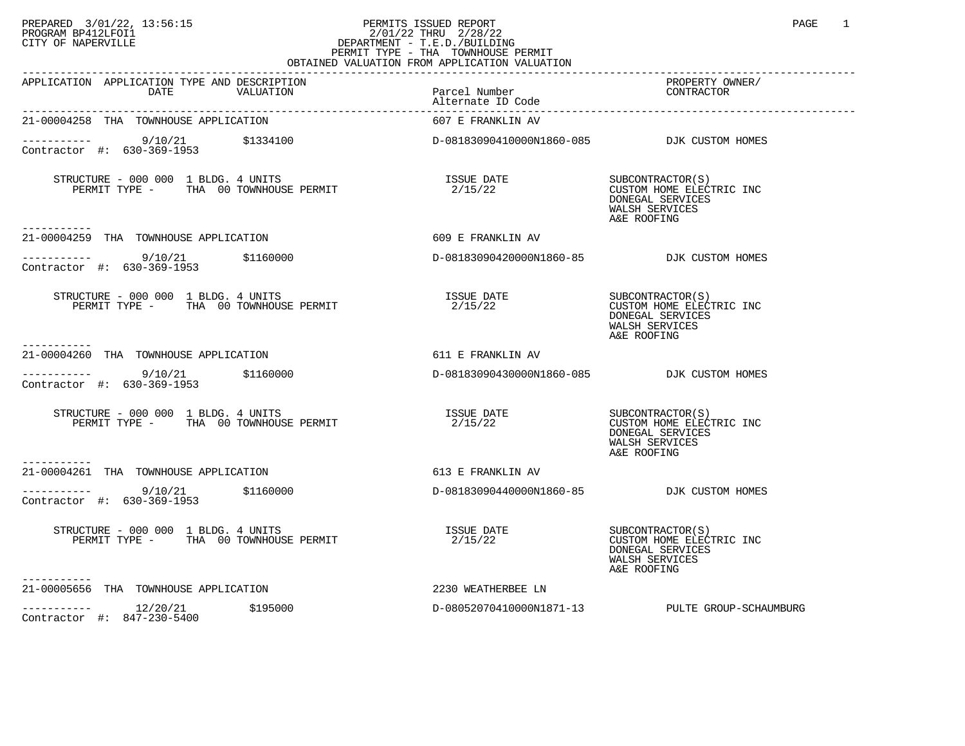## PREPARED 3/01/22, 13:56:15 PERMITS ISSUED REPORT PAGE 1<br>PROGRAM BP412LFOI1 PROGRAM PROGRAM BP412LFOI1 PROGRAM BP412LFOI1 2/01/22 THRU 2/28/22 CITY OF NAPERVILLE **Example 20** CITY OF NAPERVILLE PERMIT TYPE - THA TOWNHOUSE PERMIT

| OBTAINED VALUATION FROM APPLICATION VALUATION                                                                                                                                                                                                                                                              |                                            |                                                                                                   |  |  |  |
|------------------------------------------------------------------------------------------------------------------------------------------------------------------------------------------------------------------------------------------------------------------------------------------------------------|--------------------------------------------|---------------------------------------------------------------------------------------------------|--|--|--|
| APPLICATION APPLICATION TYPE AND DESCRIPTION<br>Parcel Number<br>DATE VALUATION Parcel Number<br>Alternate ID Code                                                                                                                                                                                         |                                            | PROPERTY OWNER/<br>CONTRACTOR                                                                     |  |  |  |
| 21-00004258 THA TOWNHOUSE APPLICATION                                                                                                                                                                                                                                                                      | 607 E FRANKLIN AV                          |                                                                                                   |  |  |  |
| ----------- 9/10/21 \$1334100<br>Contractor #: 630-369-1953 \$1334100                                                                                                                                                                                                                                      | D-08183090410000N1860-085 DJK CUSTOM HOMES |                                                                                                   |  |  |  |
| $\begin{tabular}{lllllllllll} \texttt{STRUCTURE} & - & 000 & 000 & 1 & \texttt{BLDG.} & 4 & \texttt{UNITS} & & & & & & & \texttt{ISSUE} & \texttt{DATE} \\ \texttt{PERMIT} & \texttt{TYPE} & - & \texttt{THA} & 00 & \texttt{TONNHOUSE} & \texttt{PERMIT} & & & & 2/15/22 \\ \end{tabular}$<br>----------- |                                            | SUBCONTRACTOR(S)<br>CUSTOM HOME ELECTRIC INC<br>DONEGAL SERVICES<br>WALSH SERVICES<br>A&E ROOFING |  |  |  |
| 21-00004259 THA TOWNHOUSE APPLICATION                                                                                                                                                                                                                                                                      | 609 E FRANKLIN AV                          |                                                                                                   |  |  |  |
| $------ 9/10/21$<br>Contractor #: 630-369-1953                                                                                                                                                                                                                                                             | D-08183090420000N1860-85 DJK CUSTOM HOMES  |                                                                                                   |  |  |  |
| STRUCTURE - 000 000 1 BLDG. 4 UNITS<br>PERMIT TYPE - THA 00 TOWNHOUSE PERMIT                                                                                                                                                                                                                               | ISSUE DATE<br>2/15/22                      | SUBCONTRACTOR(S)<br>CUSTOM HOME ELECTRIC INC<br>DONEGAL SERVICES<br>WALSH SERVICES<br>A&E ROOFING |  |  |  |
| -----------<br>21-00004260 THA TOWNHOUSE APPLICATION                                                                                                                                                                                                                                                       | 611 E FRANKLIN AV                          |                                                                                                   |  |  |  |
| \$1160000<br>9/10/21<br>Contractor #: 630-369-1953                                                                                                                                                                                                                                                         | D-08183090430000N1860-085 DJK CUSTOM HOMES |                                                                                                   |  |  |  |
| STRUCTURE - 000 000 1 BLDG. 4 UNITS<br>PERMIT TYPE - THA 00 TOWNHOUSE PERMIT                                                                                                                                                                                                                               | <b>ISSUE DATE</b><br>2/15/22               | SUBCONTRACTOR(S)<br>CUSTOM HOME ELECTRIC INC<br>DONEGAL SERVICES<br>WALSH SERVICES<br>A&E ROOFING |  |  |  |
| 21-00004261 THA TOWNHOUSE APPLICATION                                                                                                                                                                                                                                                                      | 613 E FRANKLIN AV                          |                                                                                                   |  |  |  |
| $\frac{9}{10/21}$ \$1160000<br>Contractor #: 630-369-1953                                                                                                                                                                                                                                                  | D-08183090440000N1860-85 DJK CUSTOM HOMES  |                                                                                                   |  |  |  |
| STRUCTURE - 000 000 1 BLDG. 4 UNITS<br>PERMIT TYPE - THA 00 TOWNHOUSE PERMIT                                                                                                                                                                                                                               | ISSUE DATE<br>2/15/22                      | SUBCONTRACTOR(S)<br>CUSTOM HOME ELECTRIC INC<br>DONEGAL SERVICES<br>WALSH SERVICES<br>A&E ROOFING |  |  |  |
| ----------<br>21-00005656 THA TOWNHOUSE APPLICATION                                                                                                                                                                                                                                                        | 2230 WEATHERBEE LN                         |                                                                                                   |  |  |  |
| \$195000<br>Contractor #: 847-230-5400                                                                                                                                                                                                                                                                     |                                            | D-08052070410000N1871-13 PULTE GROUP-SCHAUMBURG                                                   |  |  |  |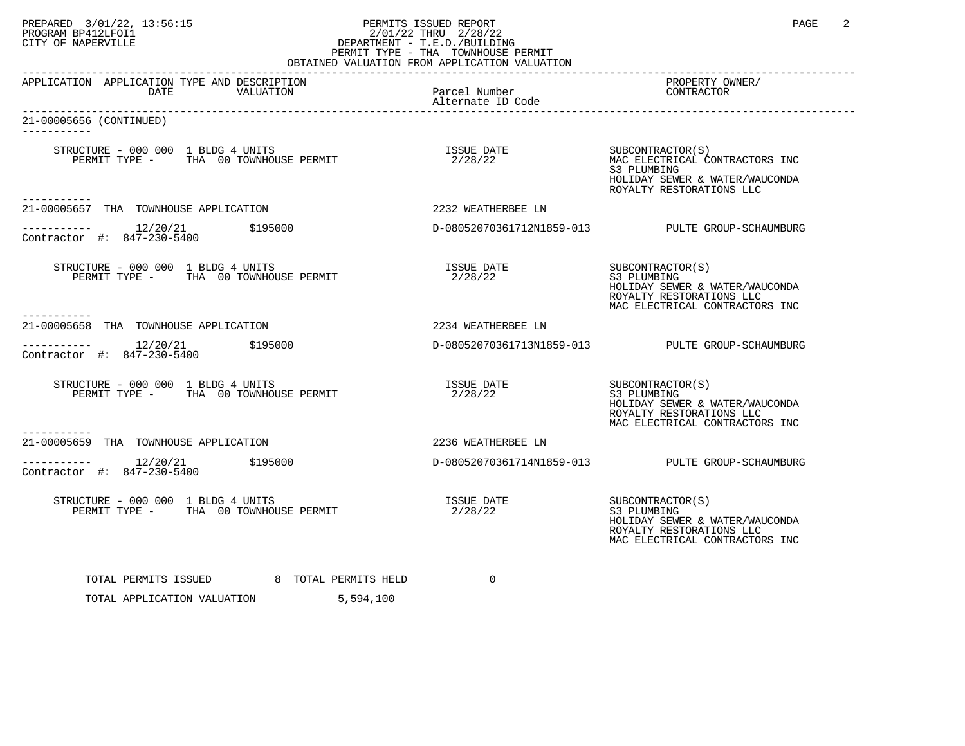## PREPARED 3/01/22, 13:56:15 PERMITS ISSUED REPORT PAGE 2 PROGRAM BP412LFOI1 2/01/22 THRU 2/28/22 CITY OF NAPERVILLE **Example 20** CITY OF NAPERVILLE PERMIT TYPE - THA TOWNHOUSE PERMIT

| OBTAINED VALUATION FROM APPLICATION VALUATION                                                                                                |                                        |                                                                                                                                 |  |  |  |  |
|----------------------------------------------------------------------------------------------------------------------------------------------|----------------------------------------|---------------------------------------------------------------------------------------------------------------------------------|--|--|--|--|
| APPLICATION APPLICATION TYPE AND DESCRIPTION<br>DATE<br>VALUATION                                                                            | Parcel Number<br>Alternate ID Code     | PROPERTY OWNER/<br>CONTRACTOR                                                                                                   |  |  |  |  |
| 21-00005656 (CONTINUED)<br>---------                                                                                                         |                                        |                                                                                                                                 |  |  |  |  |
| STRUCTURE - 000 000 1 BLDG 4 UNITS<br>PERMIT TYPE - THA 00 TOWNHOUSE PERMIT                                                                  | ISSUE DATE SUBCONTRACTOR(S)<br>2/28/22 | MAC ELECTRICAL CONTRACTORS INC<br>S3 PLUMBING<br>HOLIDAY SEWER & WATER/WAUCONDA<br>ROYALTY RESTORATIONS LLC                     |  |  |  |  |
| 21-00005657 THA TOWNHOUSE APPLICATION                                                                                                        | 2232 WEATHERBEE LN                     |                                                                                                                                 |  |  |  |  |
| $\begin{array}{cccc}\n-2 & -2 & -2 & -2 \\ \text{Contractor} & +2 & 847 - 230 - 5400 & \\ \end{array}$ \$195000                              |                                        | D-08052070361712N1859-013 PULTE GROUP-SCHAUMBURG                                                                                |  |  |  |  |
| STRUCTURE - 000 000 1 BLDG 4 UNITS<br>PERMIT TYPE - THA 00 TOWNHOUSE PERMIT                                                                  | ISSUE DATE SUBCONTRACTOR(S)<br>2/28/22 | S3 PLUMBING<br>HOLIDAY SEWER & WATER/WAUCONDA<br>ROYALTY RESTORATIONS LLC<br>MAC ELECTRICAL CONTRACTORS INC                     |  |  |  |  |
| 21-00005658 THA TOWNHOUSE APPLICATION                                                                                                        | 2234 WEATHERBEE LN                     |                                                                                                                                 |  |  |  |  |
| $\begin{array}{ccc}\n-2 & -2 & -2 & -2 \\ \text{Contractor} & +2 & 847-230-5400 & \text{5195000}\n\end{array}$<br>Contractor #: 847-230-5400 |                                        | D-08052070361713N1859-013 PULTE GROUP-SCHAUMBURG                                                                                |  |  |  |  |
| STRUCTURE - 000 000 1 BLDG 4 UNITS<br>PERMIT TYPE - THA 00 TOWNHOUSE PERMIT                                                                  | ISSUE DATE SUBCONTRACTOR(S)<br>2/28/22 | S3 PLUMBING<br>HOLIDAY SEWER & WATER/WAUCONDA<br>ROYALTY RESTORATIONS LLC<br>MAC ELECTRICAL CONTRACTORS INC                     |  |  |  |  |
| 21-00005659 THA TOWNHOUSE APPLICATION                                                                                                        | 2236 WEATHERBEE LN                     |                                                                                                                                 |  |  |  |  |
| Contractor #: 847-230-5400                                                                                                                   |                                        | D-08052070361714N1859-013 PULTE GROUP-SCHAUMBURG                                                                                |  |  |  |  |
| STRUCTURE - 000 000 1 BLDG 4 UNITS<br>PERMIT TYPE - THA 00 TOWNHOUSE PERMIT                                                                  | ISSUE DATE<br>2/28/22                  | SUBCONTRACTOR(S)<br>S3 PLUMBING<br>HOLIDAY SEWER & WATER/WAUCONDA<br>ROYALTY RESTORATIONS LLC<br>MAC ELECTRICAL CONTRACTORS INC |  |  |  |  |
| TOTAL PERMITS ISSUED 8 TOTAL PERMITS HELD<br>TOTAL APPLICATION VALUATION<br>5,594,100                                                        | $\Omega$                               |                                                                                                                                 |  |  |  |  |